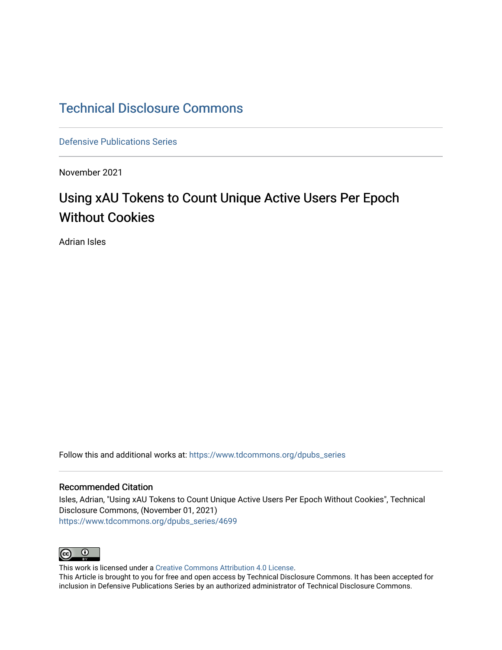# [Technical Disclosure Commons](https://www.tdcommons.org/)

[Defensive Publications Series](https://www.tdcommons.org/dpubs_series)

November 2021

# Using xAU Tokens to Count Unique Active Users Per Epoch Without Cookies

Adrian Isles

Follow this and additional works at: [https://www.tdcommons.org/dpubs\\_series](https://www.tdcommons.org/dpubs_series?utm_source=www.tdcommons.org%2Fdpubs_series%2F4699&utm_medium=PDF&utm_campaign=PDFCoverPages) 

### Recommended Citation

Isles, Adrian, "Using xAU Tokens to Count Unique Active Users Per Epoch Without Cookies", Technical Disclosure Commons, (November 01, 2021) [https://www.tdcommons.org/dpubs\\_series/4699](https://www.tdcommons.org/dpubs_series/4699?utm_source=www.tdcommons.org%2Fdpubs_series%2F4699&utm_medium=PDF&utm_campaign=PDFCoverPages)



This work is licensed under a [Creative Commons Attribution 4.0 License](http://creativecommons.org/licenses/by/4.0/deed.en_US).

This Article is brought to you for free and open access by Technical Disclosure Commons. It has been accepted for inclusion in Defensive Publications Series by an authorized administrator of Technical Disclosure Commons.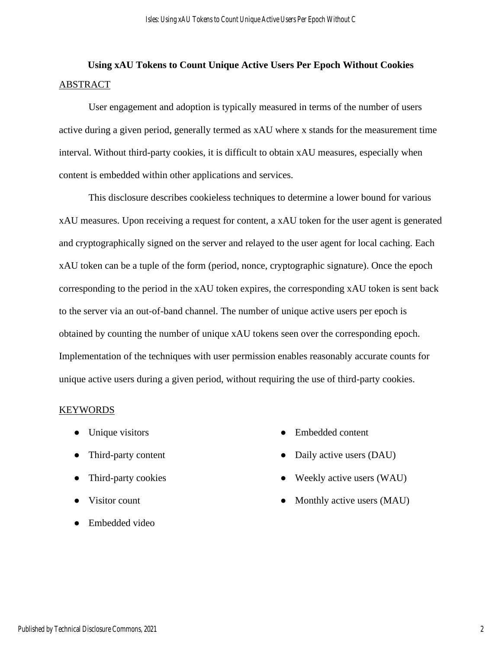# **Using xAU Tokens to Count Unique Active Users Per Epoch Without Cookies** ABSTRACT

User engagement and adoption is typically measured in terms of the number of users active during a given period, generally termed as xAU where x stands for the measurement time interval. Without third-party cookies, it is difficult to obtain xAU measures, especially when content is embedded within other applications and services.

This disclosure describes cookieless techniques to determine a lower bound for various xAU measures. Upon receiving a request for content, a xAU token for the user agent is generated and cryptographically signed on the server and relayed to the user agent for local caching. Each xAU token can be a tuple of the form (period, nonce, cryptographic signature). Once the epoch corresponding to the period in the xAU token expires, the corresponding xAU token is sent back to the server via an out-of-band channel. The number of unique active users per epoch is obtained by counting the number of unique xAU tokens seen over the corresponding epoch. Implementation of the techniques with user permission enables reasonably accurate counts for unique active users during a given period, without requiring the use of third-party cookies.

## KEYWORDS

- Unique visitors
- Third-party content
- Third-party cookies
- Visitor count
- Embedded video
- Embedded content
- Daily active users (DAU)
- Weekly active users (WAU)
- Monthly active users (MAU)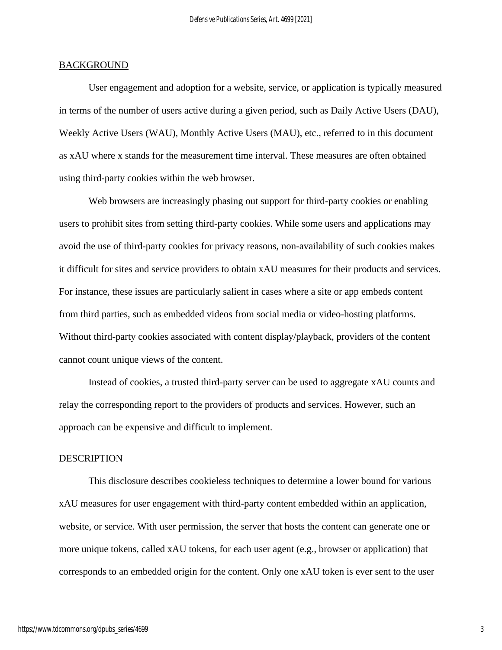#### **BACKGROUND**

User engagement and adoption for a website, service, or application is typically measured in terms of the number of users active during a given period, such as Daily Active Users (DAU), Weekly Active Users (WAU), Monthly Active Users (MAU), etc., referred to in this document as xAU where x stands for the measurement time interval. These measures are often obtained using third-party cookies within the web browser.

Web browsers are increasingly phasing out support for third-party cookies or enabling users to prohibit sites from setting third-party cookies. While some users and applications may avoid the use of third-party cookies for privacy reasons, non-availability of such cookies makes it difficult for sites and service providers to obtain xAU measures for their products and services. For instance, these issues are particularly salient in cases where a site or app embeds content from third parties, such as embedded videos from social media or video-hosting platforms. Without third-party cookies associated with content display/playback, providers of the content cannot count unique views of the content.

Instead of cookies, a trusted third-party server can be used to aggregate xAU counts and relay the corresponding report to the providers of products and services. However, such an approach can be expensive and difficult to implement.

#### **DESCRIPTION**

This disclosure describes cookieless techniques to determine a lower bound for various xAU measures for user engagement with third-party content embedded within an application, website, or service. With user permission, the server that hosts the content can generate one or more unique tokens, called xAU tokens, for each user agent (e.g., browser or application) that corresponds to an embedded origin for the content. Only one xAU token is ever sent to the user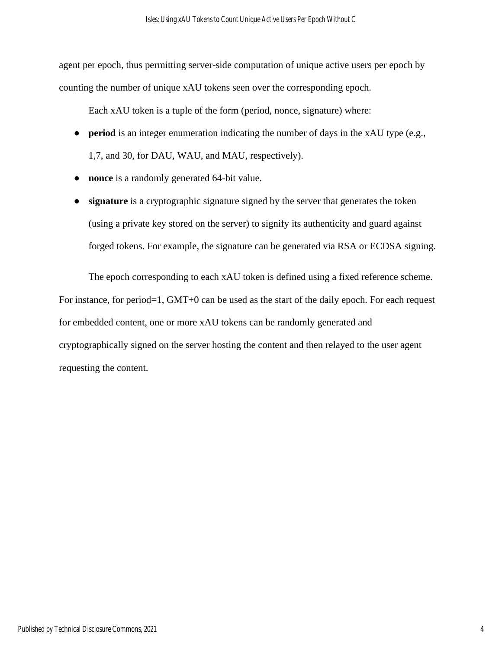agent per epoch, thus permitting server-side computation of unique active users per epoch by counting the number of unique xAU tokens seen over the corresponding epoch.

Each xAU token is a tuple of the form (period, nonce, signature) where:

- **period** is an integer enumeration indicating the number of days in the xAU type (e.g., 1,7, and 30, for DAU, WAU, and MAU, respectively).
- **nonce** is a randomly generated 64-bit value.
- **signature** is a cryptographic signature signed by the server that generates the token (using a private key stored on the server) to signify its authenticity and guard against forged tokens. For example, the signature can be generated via RSA or ECDSA signing.

The epoch corresponding to each xAU token is defined using a fixed reference scheme. For instance, for period=1, GMT+0 can be used as the start of the daily epoch. For each request for embedded content, one or more xAU tokens can be randomly generated and cryptographically signed on the server hosting the content and then relayed to the user agent requesting the content.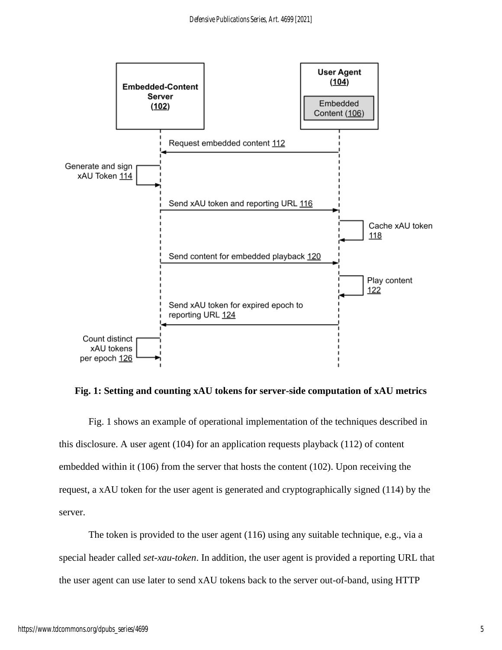

**Fig. 1: Setting and counting xAU tokens for server-side computation of xAU metrics**

Fig. 1 shows an example of operational implementation of the techniques described in this disclosure. A user agent (104) for an application requests playback (112) of content embedded within it (106) from the server that hosts the content (102). Upon receiving the request, a xAU token for the user agent is generated and cryptographically signed (114) by the server.

The token is provided to the user agent (116) using any suitable technique, e.g., via a special header called *set-xau-token*. In addition, the user agent is provided a reporting URL that the user agent can use later to send xAU tokens back to the server out-of-band, using HTTP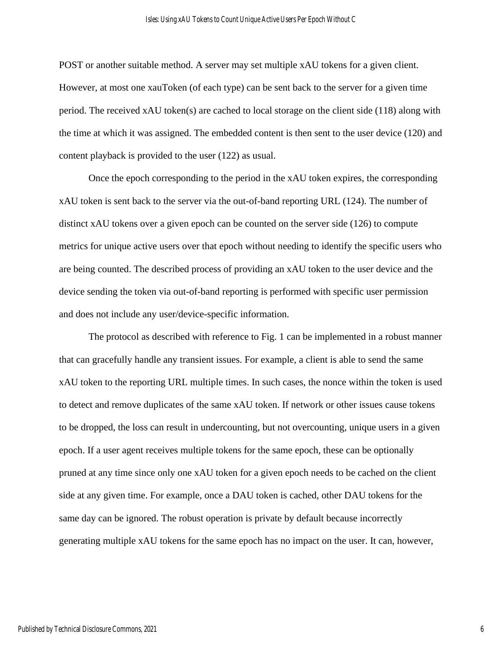POST or another suitable method. A server may set multiple xAU tokens for a given client. However, at most one xauToken (of each type) can be sent back to the server for a given time period. The received xAU token(s) are cached to local storage on the client side (118) along with the time at which it was assigned. The embedded content is then sent to the user device (120) and content playback is provided to the user (122) as usual.

Once the epoch corresponding to the period in the xAU token expires, the corresponding xAU token is sent back to the server via the out-of-band reporting URL (124). The number of distinct xAU tokens over a given epoch can be counted on the server side (126) to compute metrics for unique active users over that epoch without needing to identify the specific users who are being counted. The described process of providing an xAU token to the user device and the device sending the token via out-of-band reporting is performed with specific user permission and does not include any user/device-specific information.

The protocol as described with reference to Fig. 1 can be implemented in a robust manner that can gracefully handle any transient issues. For example, a client is able to send the same xAU token to the reporting URL multiple times. In such cases, the nonce within the token is used to detect and remove duplicates of the same xAU token. If network or other issues cause tokens to be dropped, the loss can result in undercounting, but not overcounting, unique users in a given epoch. If a user agent receives multiple tokens for the same epoch, these can be optionally pruned at any time since only one xAU token for a given epoch needs to be cached on the client side at any given time. For example, once a DAU token is cached, other DAU tokens for the same day can be ignored. The robust operation is private by default because incorrectly generating multiple xAU tokens for the same epoch has no impact on the user. It can, however,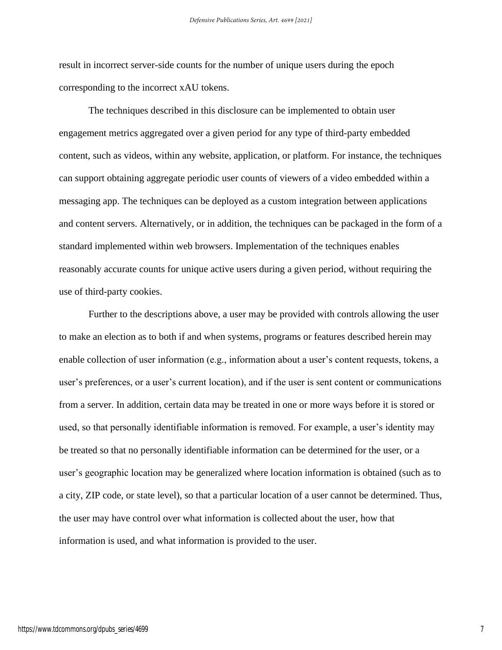result in incorrect server-side counts for the number of unique users during the epoch corresponding to the incorrect xAU tokens.

The techniques described in this disclosure can be implemented to obtain user engagement metrics aggregated over a given period for any type of third-party embedded content, such as videos, within any website, application, or platform. For instance, the techniques can support obtaining aggregate periodic user counts of viewers of a video embedded within a messaging app. The techniques can be deployed as a custom integration between applications and content servers. Alternatively, or in addition, the techniques can be packaged in the form of a standard implemented within web browsers. Implementation of the techniques enables reasonably accurate counts for unique active users during a given period, without requiring the use of third-party cookies.

Further to the descriptions above, a user may be provided with controls allowing the user to make an election as to both if and when systems, programs or features described herein may enable collection of user information (e.g., information about a user's content requests, tokens, a user's preferences, or a user's current location), and if the user is sent content or communications from a server. In addition, certain data may be treated in one or more ways before it is stored or used, so that personally identifiable information is removed. For example, a user's identity may be treated so that no personally identifiable information can be determined for the user, or a user's geographic location may be generalized where location information is obtained (such as to a city, ZIP code, or state level), so that a particular location of a user cannot be determined. Thus, the user may have control over what information is collected about the user, how that information is used, and what information is provided to the user.

7